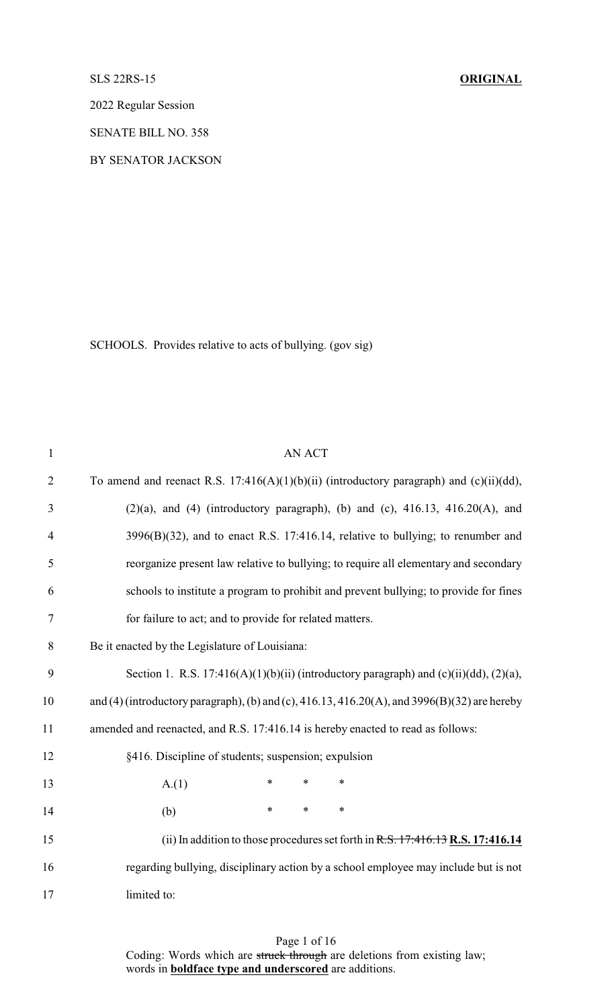SLS 22RS-15 **ORIGINAL**

2022 Regular Session

SENATE BILL NO. 358

BY SENATOR JACKSON

SCHOOLS. Provides relative to acts of bullying. (gov sig)

| $\mathbf{1}$   | <b>AN ACT</b>                                                                                |
|----------------|----------------------------------------------------------------------------------------------|
| $\overline{2}$ | To amend and reenact R.S. 17:416(A)(1)(b)(ii) (introductory paragraph) and (c)(ii)(dd),      |
| 3              | $(2)(a)$ , and $(4)$ (introductory paragraph), (b) and (c), $416.13$ , $416.20(A)$ , and     |
| $\overline{4}$ | $3996(B)(32)$ , and to enact R.S. 17:416.14, relative to bullying; to renumber and           |
| 5              | reorganize present law relative to bullying; to require all elementary and secondary         |
| 6              | schools to institute a program to prohibit and prevent bullying; to provide for fines        |
| $\tau$         | for failure to act; and to provide for related matters.                                      |
| 8              | Be it enacted by the Legislature of Louisiana:                                               |
| 9              | Section 1. R.S. 17:416(A)(1)(b)(ii) (introductory paragraph) and (c)(ii)(dd), (2)(a),        |
| 10             | and (4) (introductory paragraph), (b) and (c), 416.13, 416.20(A), and 3996(B)(32) are hereby |
| 11             | amended and reenacted, and R.S. 17:416.14 is hereby enacted to read as follows:              |
| 12             | §416. Discipline of students; suspension; expulsion                                          |
| 13             | $\ast$<br>$\ast$<br>A(1)<br>$\ast$                                                           |
| 14             | $\ast$<br>$\ast$<br>$\ast$<br>(b)                                                            |
| 15             | (ii) In addition to those procedures set forth in $R.S. 17:416.13 R.S. 17:416.14$            |
| 16             | regarding bullying, disciplinary action by a school employee may include but is not          |
| 17             | limited to:                                                                                  |

Page 1 of 16 Coding: Words which are struck through are deletions from existing law; words in **boldface type and underscored** are additions.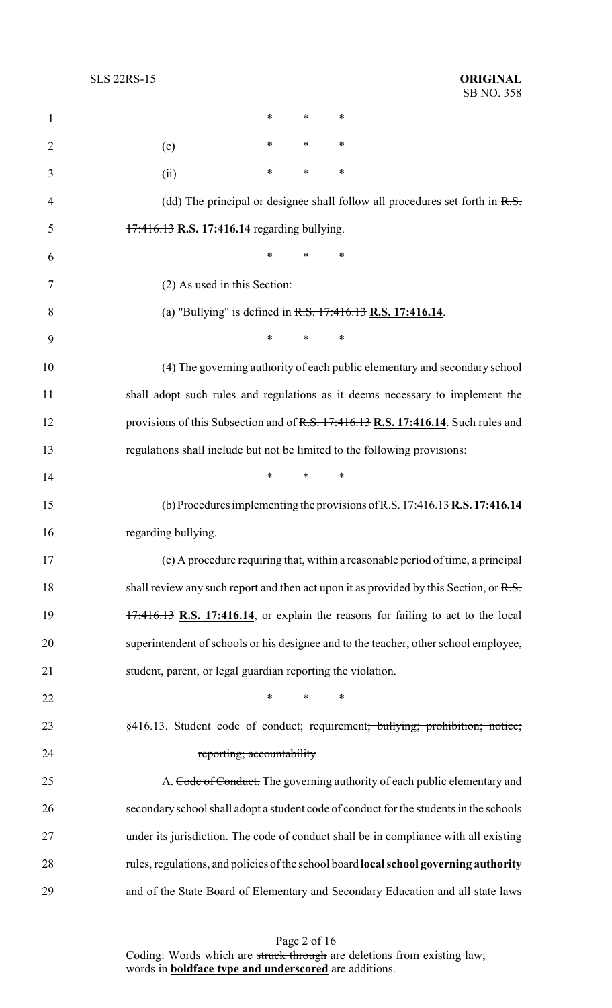| $\mathbf{1}$ | *<br>$\ast$<br>*                                                                          |
|--------------|-------------------------------------------------------------------------------------------|
| 2            | ∗<br>∗<br>∗<br>(c)                                                                        |
| 3            | ∗<br>*<br>∗<br>(ii)                                                                       |
| 4            | (dd) The principal or designee shall follow all procedures set forth in $R.S.$            |
| 5            | 17:416.13 R.S. 17:416.14 regarding bullying.                                              |
| 6            | *<br>∗                                                                                    |
| 7            | (2) As used in this Section:                                                              |
| 8            | (a) "Bullying" is defined in $R.S. 17:416.13 R.S. 17:416.14$ .                            |
| 9            | *<br>*<br>∗                                                                               |
| 10           | (4) The governing authority of each public elementary and secondary school                |
| 11           | shall adopt such rules and regulations as it deems necessary to implement the             |
| 12           | provisions of this Subsection and of R.S. 17:416.13 R.S. 17:416.14. Such rules and        |
| 13           | regulations shall include but not be limited to the following provisions:                 |
| 14           | $\ast$<br>∗<br>*                                                                          |
| 15           | (b) Procedures implementing the provisions of $R.S. 17:416.13 R.S. 17:416.14$             |
| 16           | regarding bullying.                                                                       |
| 17           | (c) A procedure requiring that, within a reasonable period of time, a principal           |
| 18           | shall review any such report and then act upon it as provided by this Section, or $R.S.$  |
| 19           | $17:416.13$ R.S. 17:416.14, or explain the reasons for failing to act to the local        |
| 20           | superintendent of schools or his designee and to the teacher, other school employee,      |
| 21           | student, parent, or legal guardian reporting the violation.                               |
| 22           | $\ast$<br>∗<br>∗                                                                          |
| 23           | §416.13. Student code of conduct; requirement <del>; bullying; prohibition; notice;</del> |
| 24           | reporting; accountability                                                                 |
| 25           | A. Code of Conduct. The governing authority of each public elementary and                 |
| 26           | secondary school shall adopt a student code of conduct for the students in the schools    |
| 27           | under its jurisdiction. The code of conduct shall be in compliance with all existing      |
| 28           | rules, regulations, and policies of the school board local school governing authority     |
| 29           | and of the State Board of Elementary and Secondary Education and all state laws           |

Page 2 of 16 Coding: Words which are struck through are deletions from existing law; words in **boldface type and underscored** are additions.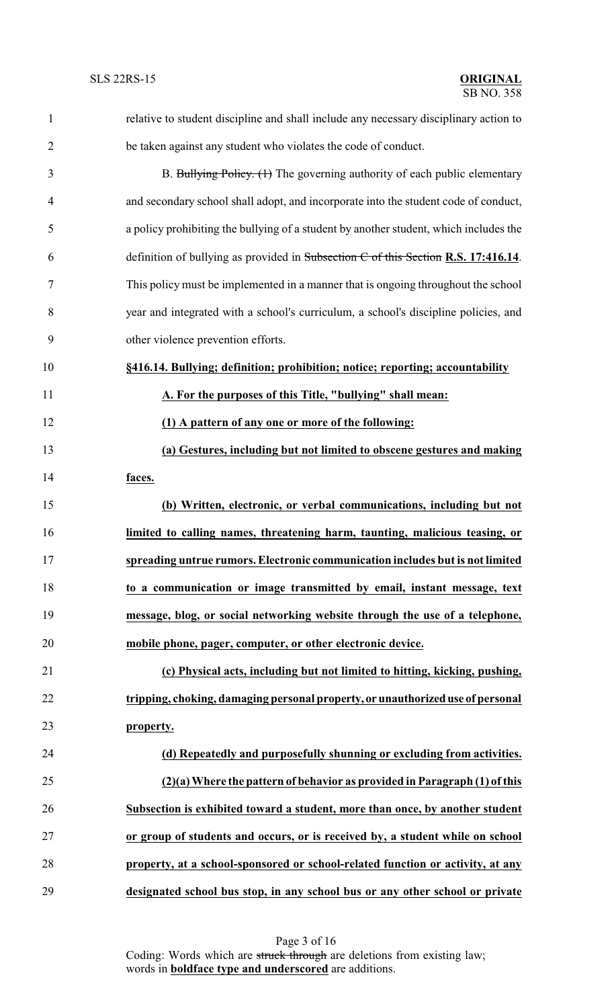| $\mathbf{1}$   | relative to student discipline and shall include any necessary disciplinary action to |
|----------------|---------------------------------------------------------------------------------------|
| $\overline{2}$ | be taken against any student who violates the code of conduct.                        |
| 3              | B. Bullying Policy. (1) The governing authority of each public elementary             |
| $\overline{4}$ | and secondary school shall adopt, and incorporate into the student code of conduct,   |
| 5              | a policy prohibiting the bullying of a student by another student, which includes the |
| 6              | definition of bullying as provided in Subsection $C$ of this Section R.S. 17:416.14.  |
| 7              | This policy must be implemented in a manner that is ongoing throughout the school     |
| 8              | year and integrated with a school's curriculum, a school's discipline policies, and   |
| 9              | other violence prevention efforts.                                                    |
| 10             | §416.14. Bullying; definition; prohibition; notice; reporting; accountability         |
| 11             | A. For the purposes of this Title, "bullying" shall mean:                             |
| 12             | (1) A pattern of any one or more of the following:                                    |
| 13             | (a) Gestures, including but not limited to obscene gestures and making                |
| 14             | faces.                                                                                |
| 15             | (b) Written, electronic, or verbal communications, including but not                  |
| 16             | limited to calling names, threatening harm, taunting, malicious teasing, or           |
| 17             | spreading untrue rumors. Electronic communication includes but is not limited         |
| 18             | to a communication or image transmitted by email, instant message, text               |
| 19             | message, blog, or social networking website through the use of a telephone,           |
| 20             | mobile phone, pager, computer, or other electronic device.                            |
| 21             | (c) Physical acts, including but not limited to hitting, kicking, pushing,            |
| 22             | tripping, choking, damaging personal property, or unauthorized use of personal        |
| 23             | property.                                                                             |
| 24             | (d) Repeatedly and purposefully shunning or excluding from activities.                |
| 25             | (2)(a) Where the pattern of behavior as provided in Paragraph (1) of this             |
| 26             | Subsection is exhibited toward a student, more than once, by another student          |
| 27             | or group of students and occurs, or is received by, a student while on school         |
| 28             | property, at a school-sponsored or school-related function or activity, at any        |
| 29             | designated school bus stop, in any school bus or any other school or private          |

Page 3 of 16 Coding: Words which are struck through are deletions from existing law; words in **boldface type and underscored** are additions.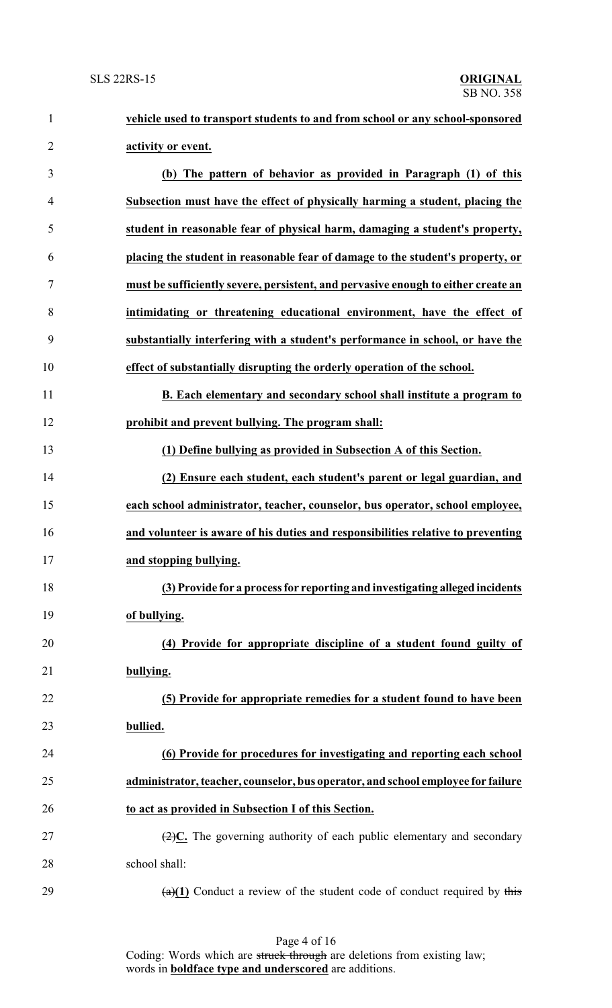| $\mathbf{1}$   | vehicle used to transport students to and from school or any school-sponsored                 |
|----------------|-----------------------------------------------------------------------------------------------|
| $\overline{2}$ | activity or event.                                                                            |
| 3              | (b) The pattern of behavior as provided in Paragraph (1) of this                              |
| 4              | Subsection must have the effect of physically harming a student, placing the                  |
| 5              | student in reasonable fear of physical harm, damaging a student's property,                   |
| 6              | placing the student in reasonable fear of damage to the student's property, or                |
| $\tau$         | must be sufficiently severe, persistent, and pervasive enough to either create an             |
| 8              | intimidating or threatening educational environment, have the effect of                       |
| 9              | substantially interfering with a student's performance in school, or have the                 |
| 10             | effect of substantially disrupting the orderly operation of the school.                       |
| 11             | B. Each elementary and secondary school shall institute a program to                          |
| 12             | prohibit and prevent bullying. The program shall:                                             |
| 13             | (1) Define bullying as provided in Subsection A of this Section.                              |
| 14             | (2) Ensure each student, each student's parent or legal guardian, and                         |
| 15             | each school administrator, teacher, counselor, bus operator, school employee,                 |
| 16             | and volunteer is aware of his duties and responsibilities relative to preventing              |
| 17             | and stopping bullying.                                                                        |
| 18             | (3) Provide for a process for reporting and investigating alleged incidents                   |
| 19             | of bullying.                                                                                  |
| 20             | (4) Provide for appropriate discipline of a student found guilty of                           |
| 21             | bullying.                                                                                     |
| 22             | (5) Provide for appropriate remedies for a student found to have been                         |
| 23             | bullied.                                                                                      |
| 24             | (6) Provide for procedures for investigating and reporting each school                        |
| 25             | administrator, teacher, counselor, bus operator, and school employee for failure              |
| 26             | to act as provided in Subsection I of this Section.                                           |
| 27             | $\left(\frac{2}{2}\right)C$ . The governing authority of each public elementary and secondary |
| 28             | school shall:                                                                                 |
| 29             | $\frac{a(1)}{1}$ Conduct a review of the student code of conduct required by this             |

Page 4 of 16 Coding: Words which are struck through are deletions from existing law; words in **boldface type and underscored** are additions.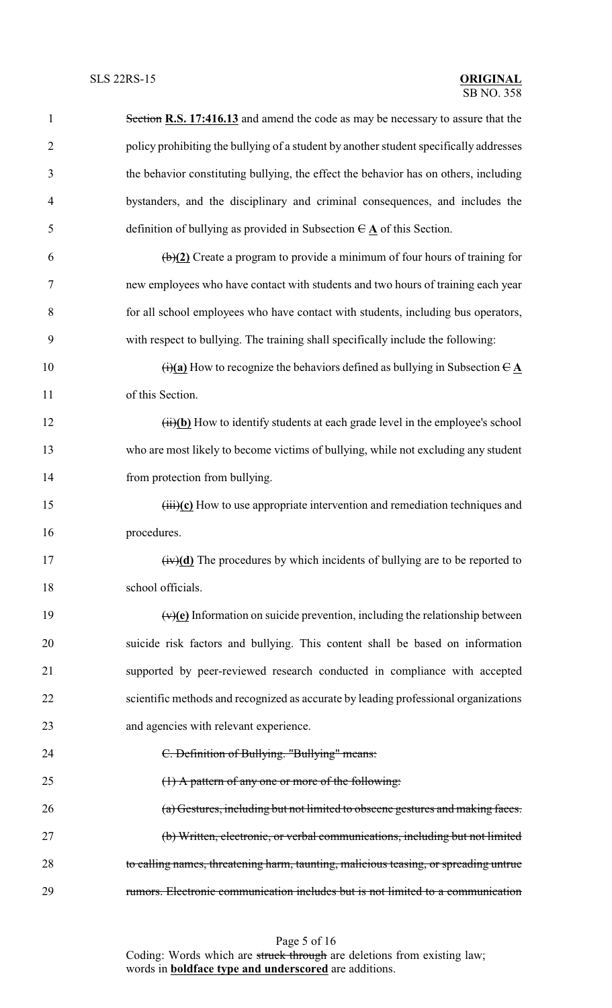| $\mathbf{1}$   | Section R.S. 17:416.13 and amend the code as may be necessary to assure that the                                   |
|----------------|--------------------------------------------------------------------------------------------------------------------|
| $\overline{2}$ | policy prohibiting the bullying of a student by another student specifically addresses                             |
| 3              | the behavior constituting bullying, the effect the behavior has on others, including                               |
| $\overline{4}$ | bystanders, and the disciplinary and criminal consequences, and includes the                                       |
| 5              | definition of bullying as provided in Subsection $\theta \mathbf{A}$ of this Section.                              |
| 6              | $\left(\frac{b}{2}\right)$ Create a program to provide a minimum of four hours of training for                     |
| 7              | new employees who have contact with students and two hours of training each year                                   |
| 8              | for all school employees who have contact with students, including bus operators,                                  |
| 9              | with respect to bullying. The training shall specifically include the following:                                   |
| 10             | $\overrightarrow{(i)}$ (a) How to recognize the behaviors defined as bullying in Subsection $\overrightarrow{C}$ A |
| 11             | of this Section.                                                                                                   |
| 12             | (ii)(b) How to identify students at each grade level in the employee's school                                      |
| 13             | who are most likely to become victims of bullying, while not excluding any student                                 |
| 14             | from protection from bullying.                                                                                     |
| 15             | $\overrightarrow{(\text{iii})}$ (c) How to use appropriate intervention and remediation techniques and             |
| 16             | procedures.                                                                                                        |
| 17             | $(iv)(d)$ The procedures by which incidents of bullying are to be reported to                                      |
| 18             | school officials.                                                                                                  |
| 19             | $(v)(e)$ Information on suicide prevention, including the relationship between                                     |
| 20             | suicide risk factors and bullying. This content shall be based on information                                      |
| 21             | supported by peer-reviewed research conducted in compliance with accepted                                          |
| 22             | scientific methods and recognized as accurate by leading professional organizations                                |
| 23             | and agencies with relevant experience.                                                                             |
| 24             | C. Definition of Bullying. "Bullying" means:                                                                       |
| 25             | (1) A pattern of any one or more of the following:                                                                 |
| 26             | (a) Gestures, including but not limited to obscene gestures and making faces.                                      |
| 27             | (b) Written, electronic, or verbal communications, including but not limited                                       |
| 28             | to calling names, threatening harm, taunting, malicious teasing, or spreading untrue                               |
| 29             | rumors. Electronic communication includes but is not limited to a communication                                    |

Page 5 of 16 Coding: Words which are struck through are deletions from existing law; words in **boldface type and underscored** are additions.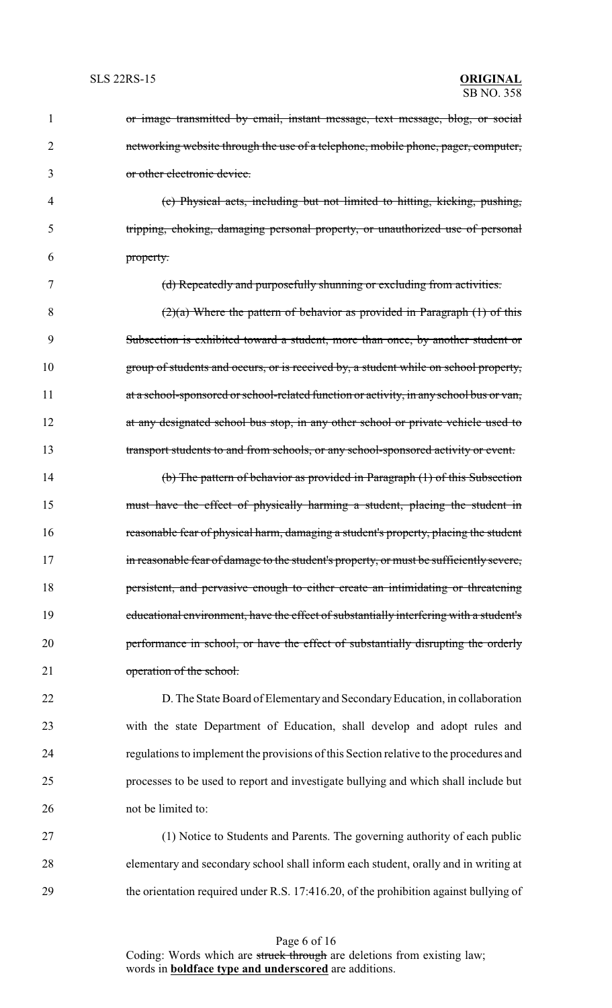| 1              | or image transmitted by email, instant message, text message, blog, or social           |
|----------------|-----------------------------------------------------------------------------------------|
| $\overline{2}$ | networking website through the use of a telephone, mobile phone, pager, computer,       |
| 3              | or other electronic device.                                                             |
| 4              | (c) Physical acts, including but not limited to hitting, kicking, pushing,              |
| 5              | tripping, choking, damaging personal property, or unauthorized use of personal          |
| 6              | property.                                                                               |
| 7              | (d) Repeatedly and purposefully shunning or excluding from activities.                  |
| 8              | $(2)(a)$ Where the pattern of behavior as provided in Paragraph $(1)$ of this           |
| 9              | Subsection is exhibited toward a student, more than once, by another student or         |
| 10             | group of students and occurs, or is received by, a student while on school property,    |
| 11             | at a school-sponsored or school-related function or activity, in any school bus or van, |
| 12             | at any designated school bus stop, in any other school or private vehicle used to       |
| 13             | transport students to and from schools, or any school-sponsored activity or event.      |
| 14             | (b) The pattern of behavior as provided in Paragraph $(1)$ of this Subsection           |
| 15             | must have the effect of physically harming a student, placing the student in            |
| 16             | reasonable fear of physical harm, damaging a student's property, placing the student    |
| 17             | in reasonable fear of damage to the student's property, or must be sufficiently severe, |
| 18             | persistent, and pervasive enough to either create an intimidating or threatening        |
| 19             | educational environment, have the effect of substantially interfering with a student's  |
| 20             | performance in school, or have the effect of substantially disrupting the orderly       |
| 21             | operation of the school.                                                                |
| 22             | D. The State Board of Elementary and Secondary Education, in collaboration              |
| 23             | with the state Department of Education, shall develop and adopt rules and               |
| 24             | regulations to implement the provisions of this Section relative to the procedures and  |
| 25             | processes to be used to report and investigate bullying and which shall include but     |
| 26             | not be limited to:                                                                      |
| $27\,$         | (1) Notice to Students and Parents. The governing authority of each public              |

28 elementary and secondary school shall inform each student, orally and in writing at 29 the orientation required under R.S. 17:416.20, of the prohibition against bullying of

> Page 6 of 16 Coding: Words which are struck through are deletions from existing law; words in **boldface type and underscored** are additions.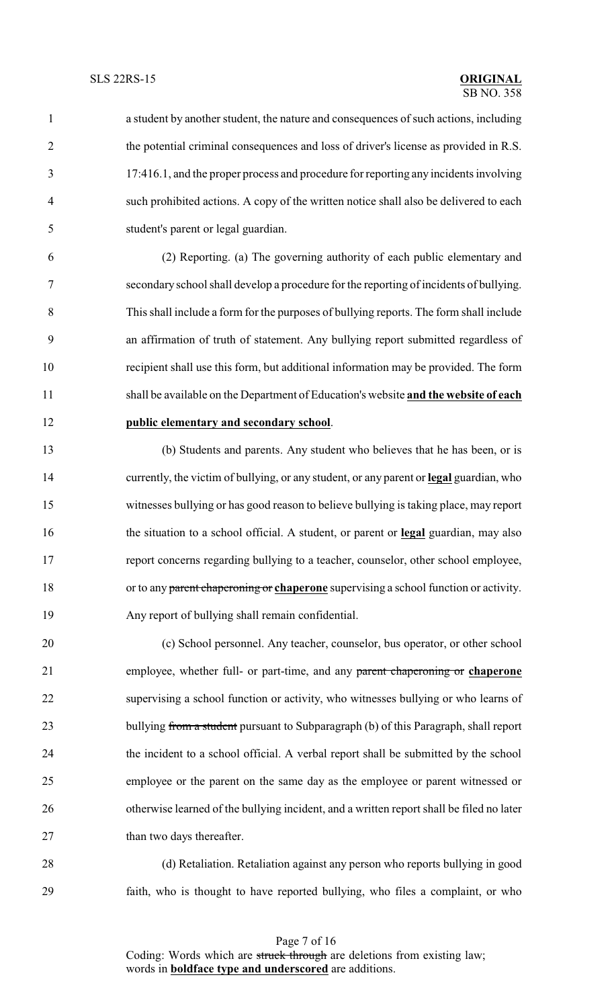a student by another student, the nature and consequences of such actions, including the potential criminal consequences and loss of driver's license as provided in R.S. 17:416.1, and the proper process and procedure for reporting any incidents involving such prohibited actions. A copy of the written notice shall also be delivered to each student's parent or legal guardian.

 (2) Reporting. (a) The governing authority of each public elementary and secondary school shall develop a procedure for the reporting of incidents of bullying. This shall include a form for the purposes of bullying reports. The form shall include an affirmation of truth of statement. Any bullying report submitted regardless of recipient shall use this form, but additional information may be provided. The form shall be available on the Department of Education's website **and the website of each public elementary and secondary school**.

 (b) Students and parents. Any student who believes that he has been, or is currently, the victim of bullying, or any student, or any parent or **legal** guardian, who witnesses bullying or has good reason to believe bullying is taking place, may report the situation to a school official. A student, or parent or **legal** guardian, may also report concerns regarding bullying to a teacher, counselor, other school employee, or to any parent chaperoning or **chaperone** supervising a school function or activity. Any report of bullying shall remain confidential.

 (c) School personnel. Any teacher, counselor, bus operator, or other school employee, whether full- or part-time, and any parent chaperoning or **chaperone** supervising a school function or activity, who witnesses bullying or who learns of 23 bullying from a student pursuant to Subparagraph (b) of this Paragraph, shall report the incident to a school official. A verbal report shall be submitted by the school employee or the parent on the same day as the employee or parent witnessed or 26 otherwise learned of the bullying incident, and a written report shall be filed no later 27 than two days thereafter.

 (d) Retaliation. Retaliation against any person who reports bullying in good faith, who is thought to have reported bullying, who files a complaint, or who

Page 7 of 16 Coding: Words which are struck through are deletions from existing law; words in **boldface type and underscored** are additions.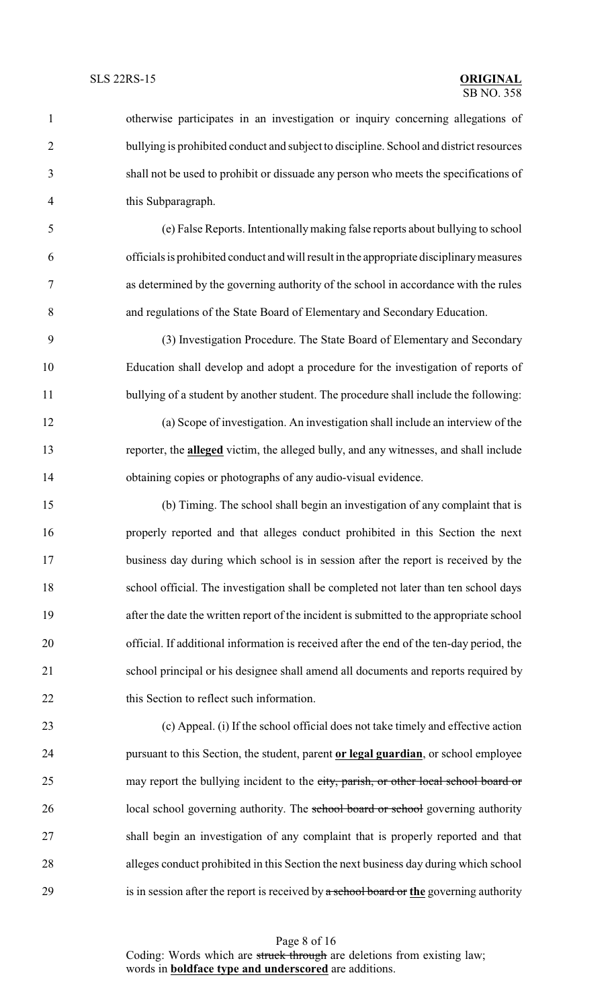otherwise participates in an investigation or inquiry concerning allegations of bullying is prohibited conduct and subject to discipline. School and district resources shall not be used to prohibit or dissuade any person who meets the specifications of this Subparagraph. (e) False Reports. Intentionallymaking false reports about bullying to school officials is prohibited conduct and will result in the appropriate disciplinarymeasures as determined by the governing authority of the school in accordance with the rules and regulations of the State Board of Elementary and Secondary Education. (3) Investigation Procedure. The State Board of Elementary and Secondary Education shall develop and adopt a procedure for the investigation of reports of 11 bullying of a student by another student. The procedure shall include the following: (a) Scope of investigation. An investigation shall include an interview of the reporter, the **alleged** victim, the alleged bully, and any witnesses, and shall include obtaining copies or photographs of any audio-visual evidence. (b) Timing. The school shall begin an investigation of any complaint that is properly reported and that alleges conduct prohibited in this Section the next

 business day during which school is in session after the report is received by the school official. The investigation shall be completed not later than ten school days after the date the written report of the incident is submitted to the appropriate school official. If additional information is received after the end of the ten-day period, the school principal or his designee shall amend all documents and reports required by 22 this Section to reflect such information.

 (c) Appeal. (i) If the school official does not take timely and effective action pursuant to this Section, the student, parent **or legal guardian**, or school employee 25 may report the bullying incident to the city, parish, or other local school board or 26 local school governing authority. The school board or school governing authority shall begin an investigation of any complaint that is properly reported and that alleges conduct prohibited in this Section the next business day during which school is in session after the report is received by a school board or **the** governing authority

Page 8 of 16 Coding: Words which are struck through are deletions from existing law; words in **boldface type and underscored** are additions.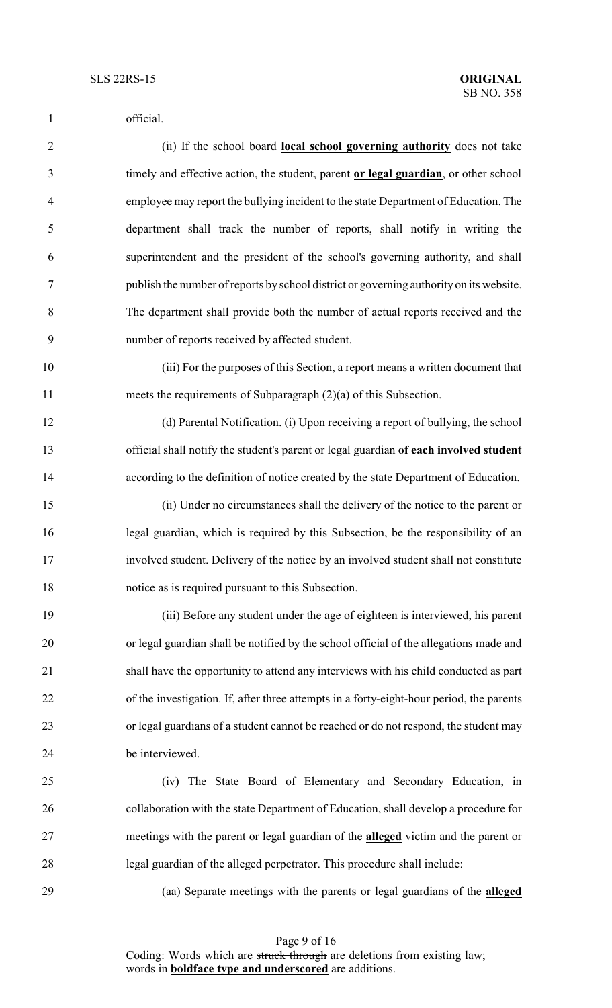official. (ii) If the school board **local school governing authority** does not take timely and effective action, the student, parent **or legal guardian**, or other school employee may report the bullying incident to the state Department of Education. The department shall track the number of reports, shall notify in writing the superintendent and the president of the school's governing authority, and shall publish the number of reports by school district or governing authority on its website. The department shall provide both the number of actual reports received and the number of reports received by affected student. (iii) For the purposes of this Section, a report means a written document that meets the requirements of Subparagraph (2)(a) of this Subsection. (d) Parental Notification. (i) Upon receiving a report of bullying, the school official shall notify the student's parent or legal guardian **of each involved student** according to the definition of notice created by the state Department of Education. (ii) Under no circumstances shall the delivery of the notice to the parent or legal guardian, which is required by this Subsection, be the responsibility of an involved student. Delivery of the notice by an involved student shall not constitute notice as is required pursuant to this Subsection. (iii) Before any student under the age of eighteen is interviewed, his parent or legal guardian shall be notified by the school official of the allegations made and shall have the opportunity to attend any interviews with his child conducted as part of the investigation. If, after three attempts in a forty-eight-hour period, the parents or legal guardians of a student cannot be reached or do not respond, the student may be interviewed. (iv) The State Board of Elementary and Secondary Education, in collaboration with the state Department of Education, shall develop a procedure for meetings with the parent or legal guardian of the **alleged** victim and the parent or legal guardian of the alleged perpetrator. This procedure shall include: (aa) Separate meetings with the parents or legal guardians of the **alleged**

Coding: Words which are struck through are deletions from existing law; words in **boldface type and underscored** are additions.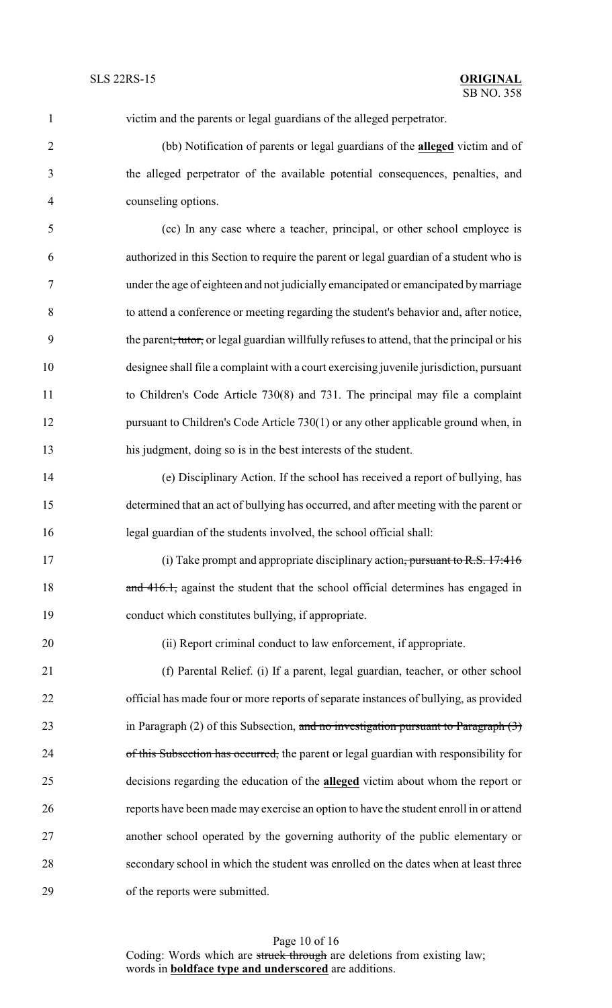| $\mathbf{1}$   | victim and the parents or legal guardians of the alleged perpetrator.                                   |
|----------------|---------------------------------------------------------------------------------------------------------|
| $\overline{2}$ | (bb) Notification of parents or legal guardians of the <b>alleged</b> victim and of                     |
| 3              | the alleged perpetrator of the available potential consequences, penalties, and                         |
| $\overline{4}$ | counseling options.                                                                                     |
| 5              | (cc) In any case where a teacher, principal, or other school employee is                                |
| 6              | authorized in this Section to require the parent or legal guardian of a student who is                  |
| $\tau$         | under the age of eighteen and not judicially emancipated or emancipated by marriage                     |
| 8              | to attend a conference or meeting regarding the student's behavior and, after notice,                   |
| 9              | the parent <del>, tutor,</del> or legal guardian willfully refuses to attend, that the principal or his |
| 10             | designee shall file a complaint with a court exercising juvenile jurisdiction, pursuant                 |
| 11             | to Children's Code Article 730(8) and 731. The principal may file a complaint                           |
| 12             | pursuant to Children's Code Article 730(1) or any other applicable ground when, in                      |
| 13             | his judgment, doing so is in the best interests of the student.                                         |
| 14             | (e) Disciplinary Action. If the school has received a report of bullying, has                           |
| 15             | determined that an act of bullying has occurred, and after meeting with the parent or                   |
| 16             | legal guardian of the students involved, the school official shall:                                     |
| 17             | (i) Take prompt and appropriate disciplinary action, pursuant to R.S. 17:416                            |
| 18             | and 416.1, against the student that the school official determines has engaged in                       |
| 19             | conduct which constitutes bullying, if appropriate.                                                     |
| 20             | (ii) Report criminal conduct to law enforcement, if appropriate.                                        |
| 21             | (f) Parental Relief. (i) If a parent, legal guardian, teacher, or other school                          |
| 22             | official has made four or more reports of separate instances of bullying, as provided                   |
| 23             | in Paragraph $(2)$ of this Subsection, and no investigation pursuant to Paragraph $(3)$                 |
| 24             | of this Subsection has occurred, the parent or legal guardian with responsibility for                   |
| 25             | decisions regarding the education of the <b>alleged</b> victim about whom the report or                 |
| 26             | reports have been made may exercise an option to have the student enroll in or attend                   |
| 27             | another school operated by the governing authority of the public elementary or                          |
| 28             | secondary school in which the student was enrolled on the dates when at least three                     |

of the reports were submitted.

Page 10 of 16 Coding: Words which are struck through are deletions from existing law; words in **boldface type and underscored** are additions.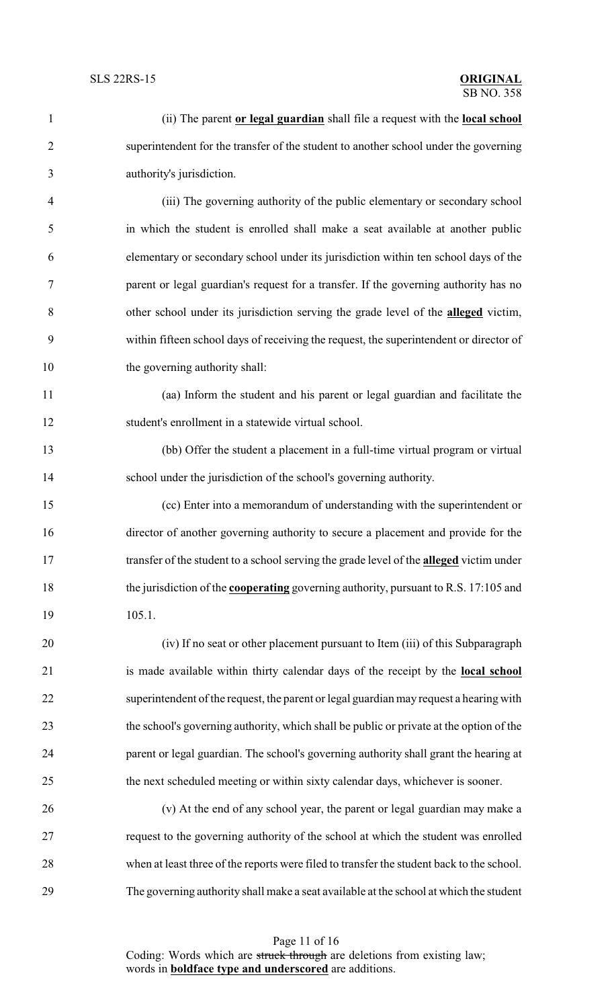| $\mathbf{1}$   | (ii) The parent or legal guardian shall file a request with the local school                |
|----------------|---------------------------------------------------------------------------------------------|
| $\overline{2}$ | superintendent for the transfer of the student to another school under the governing        |
| 3              | authority's jurisdiction.                                                                   |
| $\overline{4}$ | (iii) The governing authority of the public elementary or secondary school                  |
| 5              | in which the student is enrolled shall make a seat available at another public              |
| 6              | elementary or secondary school under its jurisdiction within ten school days of the         |
| 7              | parent or legal guardian's request for a transfer. If the governing authority has no        |
| 8              | other school under its jurisdiction serving the grade level of the <b>alleged</b> victim,   |
| 9              | within fifteen school days of receiving the request, the superintendent or director of      |
| 10             | the governing authority shall:                                                              |
| 11             | (aa) Inform the student and his parent or legal guardian and facilitate the                 |
| 12             | student's enrollment in a statewide virtual school.                                         |
| 13             | (bb) Offer the student a placement in a full-time virtual program or virtual                |
| 14             | school under the jurisdiction of the school's governing authority.                          |
| 15             | (cc) Enter into a memorandum of understanding with the superintendent or                    |
| 16             | director of another governing authority to secure a placement and provide for the           |
| 17             | transfer of the student to a school serving the grade level of the alleged victim under     |
| 18             | the jurisdiction of the <b>cooperating</b> governing authority, pursuant to R.S. 17:105 and |
| 19             | 105.1.                                                                                      |
| 20             | (iv) If no seat or other placement pursuant to Item (iii) of this Subparagraph              |
| 21             | is made available within thirty calendar days of the receipt by the local school            |
| 22             | superintendent of the request, the parent or legal guardian may request a hearing with      |
| 23             | the school's governing authority, which shall be public or private at the option of the     |
| 24             | parent or legal guardian. The school's governing authority shall grant the hearing at       |
| 25             | the next scheduled meeting or within sixty calendar days, whichever is sooner.              |
| 26             | (v) At the end of any school year, the parent or legal guardian may make a                  |
| 27             | request to the governing authority of the school at which the student was enrolled          |
| 28             | when at least three of the reports were filed to transfer the student back to the school.   |
| 29             | The governing authority shall make a seat available at the school at which the student      |

Page 11 of 16 Coding: Words which are struck through are deletions from existing law; words in **boldface type and underscored** are additions.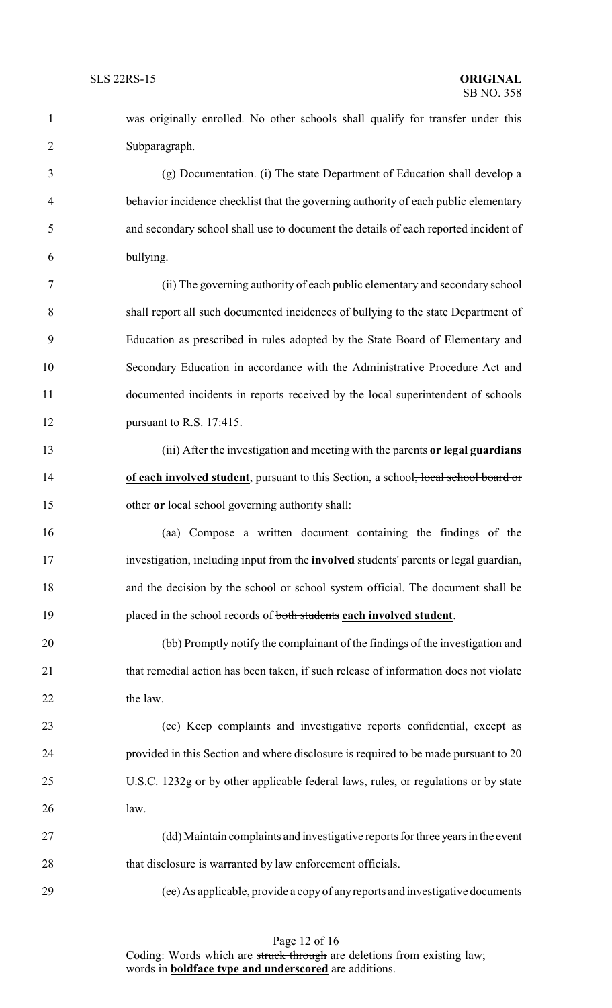was originally enrolled. No other schools shall qualify for transfer under this Subparagraph.

 (g) Documentation. (i) The state Department of Education shall develop a behavior incidence checklist that the governing authority of each public elementary and secondary school shall use to document the details of each reported incident of bullying.

 (ii) The governing authority of each public elementary and secondary school shall report all such documented incidences of bullying to the state Department of Education as prescribed in rules adopted by the State Board of Elementary and Secondary Education in accordance with the Administrative Procedure Act and documented incidents in reports received by the local superintendent of schools pursuant to R.S. 17:415.

 (iii) After the investigation and meeting with the parents **or legal guardians** 14 **of each involved student**, pursuant to this Section, a school<del>, local school board or</del> other **or** local school governing authority shall:

 (aa) Compose a written document containing the findings of the investigation, including input from the **involved** students' parents or legal guardian, and the decision by the school or school system official. The document shall be placed in the school records of both students **each involved student**.

 (bb) Promptly notify the complainant of the findings of the investigation and 21 that remedial action has been taken, if such release of information does not violate 22 the law.

 (cc) Keep complaints and investigative reports confidential, except as provided in this Section and where disclosure is required to be made pursuant to 20 U.S.C. 1232g or by other applicable federal laws, rules, or regulations or by state law.

 (dd) Maintain complaints and investigative reports for three years in the event 28 that disclosure is warranted by law enforcement officials.

(ee) As applicable, provide a copy of anyreports and investigative documents

Page 12 of 16 Coding: Words which are struck through are deletions from existing law; words in **boldface type and underscored** are additions.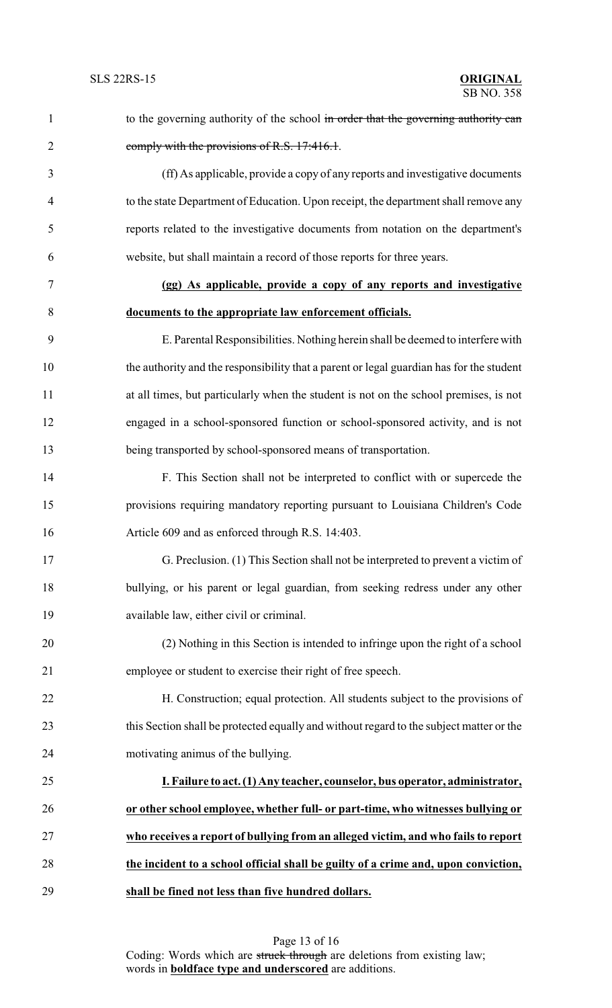| $\mathbf{1}$   | to the governing authority of the school in order that the governing authority can       |
|----------------|------------------------------------------------------------------------------------------|
| $\overline{2}$ | comply with the provisions of R.S. 17:416.1.                                             |
| 3              | (ff) As applicable, provide a copy of any reports and investigative documents            |
| 4              | to the state Department of Education. Upon receipt, the department shall remove any      |
| 5              | reports related to the investigative documents from notation on the department's         |
| 6              | website, but shall maintain a record of those reports for three years.                   |
| 7              | (gg) As applicable, provide a copy of any reports and investigative                      |
| 8              | documents to the appropriate law enforcement officials.                                  |
| 9              | E. Parental Responsibilities. Nothing herein shall be deemed to interfere with           |
| 10             | the authority and the responsibility that a parent or legal guardian has for the student |
| 11             | at all times, but particularly when the student is not on the school premises, is not    |
| 12             | engaged in a school-sponsored function or school-sponsored activity, and is not          |
| 13             | being transported by school-sponsored means of transportation.                           |
| 14             | F. This Section shall not be interpreted to conflict with or supercede the               |
| 15             | provisions requiring mandatory reporting pursuant to Louisiana Children's Code           |
| 16             | Article 609 and as enforced through R.S. 14:403.                                         |
| 17             | G. Preclusion. (1) This Section shall not be interpreted to prevent a victim of          |
| 18             | bullying, or his parent or legal guardian, from seeking redress under any other          |
| 19             | available law, either civil or criminal.                                                 |
| 20             | (2) Nothing in this Section is intended to infringe upon the right of a school           |
| 21             | employee or student to exercise their right of free speech.                              |
| 22             | H. Construction; equal protection. All students subject to the provisions of             |
| 23             | this Section shall be protected equally and without regard to the subject matter or the  |
| 24             | motivating animus of the bullying.                                                       |
| 25             | I. Failure to act. (1) Any teacher, counselor, bus operator, administrator,              |
| 26             | or other school employee, whether full- or part-time, who witnesses bullying or          |
| 27             | who receives a report of bullying from an alleged victim, and who fails to report        |
| 28             | the incident to a school official shall be guilty of a crime and, upon conviction,       |
| 29             | shall be fined not less than five hundred dollars.                                       |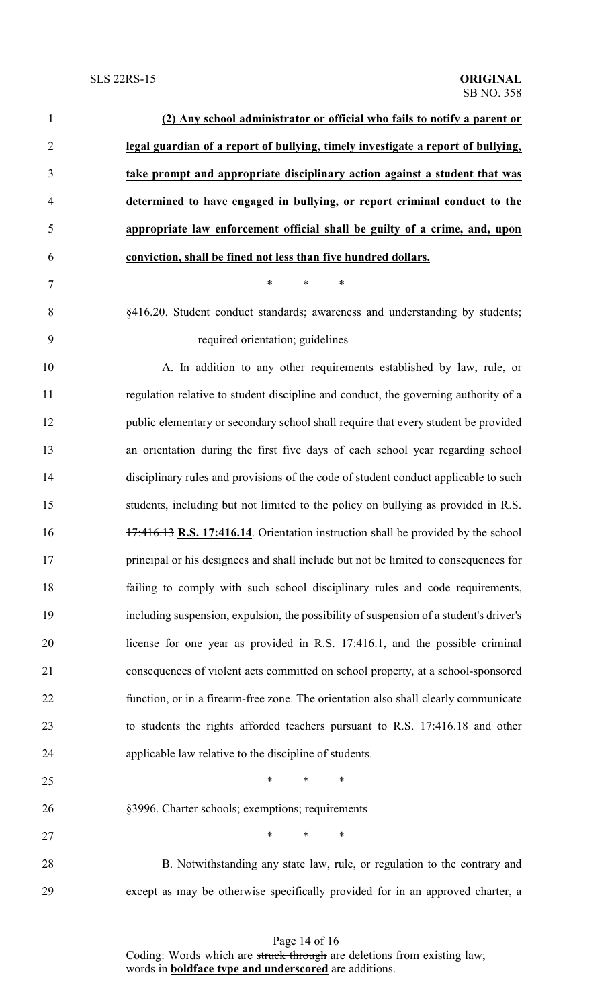| $\mathbf{1}$   | (2) Any school administrator or official who fails to notify a parent or               |
|----------------|----------------------------------------------------------------------------------------|
| $\overline{2}$ | legal guardian of a report of bullying, timely investigate a report of bullying,       |
| 3              | take prompt and appropriate disciplinary action against a student that was             |
| $\overline{4}$ | determined to have engaged in bullying, or report criminal conduct to the              |
| 5              | appropriate law enforcement official shall be guilty of a crime, and, upon             |
| 6              | conviction, shall be fined not less than five hundred dollars.                         |
| $\tau$         | $\ast$<br>*<br>$\ast$                                                                  |
| 8              | §416.20. Student conduct standards; awareness and understanding by students;           |
| 9              | required orientation; guidelines                                                       |
| 10             | A. In addition to any other requirements established by law, rule, or                  |
| 11             | regulation relative to student discipline and conduct, the governing authority of a    |
| 12             | public elementary or secondary school shall require that every student be provided     |
| 13             | an orientation during the first five days of each school year regarding school         |
| 14             | disciplinary rules and provisions of the code of student conduct applicable to such    |
| 15             | students, including but not limited to the policy on bullying as provided in R.S.      |
| 16             | 17:416.13 R.S. 17:416.14. Orientation instruction shall be provided by the school      |
| 17             | principal or his designees and shall include but not be limited to consequences for    |
| 18             | failing to comply with such school disciplinary rules and code requirements,           |
| 19             | including suspension, expulsion, the possibility of suspension of a student's driver's |
| 20             | license for one year as provided in R.S. 17:416.1, and the possible criminal           |
| 21             | consequences of violent acts committed on school property, at a school-sponsored       |
| 22             | function, or in a firearm-free zone. The orientation also shall clearly communicate    |
| 23             | to students the rights afforded teachers pursuant to R.S. 17:416.18 and other          |
| 24             | applicable law relative to the discipline of students.                                 |
| 25             | $\ast$<br>$\ast$<br>$\ast$                                                             |
| 26             | §3996. Charter schools; exemptions; requirements                                       |
| 27             | $*$<br>$\ast$<br>$\ast$                                                                |
| 28             | B. Notwithstanding any state law, rule, or regulation to the contrary and              |
| 29             | except as may be otherwise specifically provided for in an approved charter, a         |

Page 14 of 16 Coding: Words which are struck through are deletions from existing law; words in **boldface type and underscored** are additions.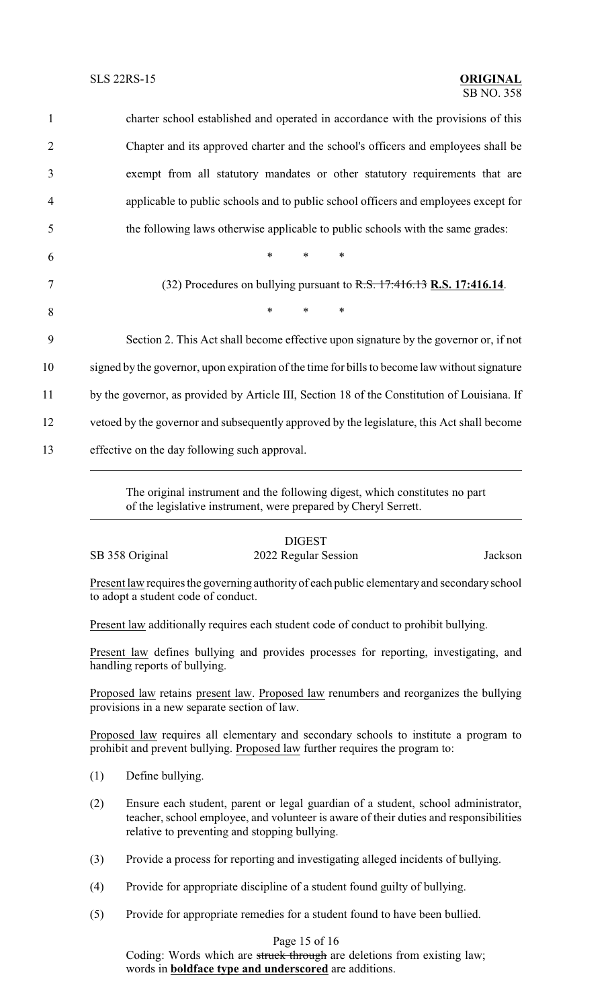| $\mathbf{1}$   | charter school established and operated in accordance with the provisions of this             |
|----------------|-----------------------------------------------------------------------------------------------|
| 2              | Chapter and its approved charter and the school's officers and employees shall be             |
| 3              | exempt from all statutory mandates or other statutory requirements that are                   |
| $\overline{4}$ | applicable to public schools and to public school officers and employees except for           |
| 5              | the following laws otherwise applicable to public schools with the same grades:               |
| 6              | $\ast$<br>$\ast$<br>$\ast$                                                                    |
| 7              | (32) Procedures on bullying pursuant to R.S. 17:416.13 R.S. 17:416.14.                        |
| 8              | $*$<br>$*$ $*$<br>$\ast$                                                                      |
| 9              | Section 2. This Act shall become effective upon signature by the governor or, if not          |
| 10             | signed by the governor, upon expiration of the time for bills to become law without signature |
| 11             | by the governor, as provided by Article III, Section 18 of the Constitution of Louisiana. If  |
| 12             | vetoed by the governor and subsequently approved by the legislature, this Act shall become    |
| 13             | effective on the day following such approval.                                                 |
|                |                                                                                               |

The original instrument and the following digest, which constitutes no part of the legislative instrument, were prepared by Cheryl Serrett.

## DIGEST

## SB 358 Original 2022 Regular Session Jackson

Present law requires the governing authority of each public elementary and secondary school to adopt a student code of conduct.

Present law additionally requires each student code of conduct to prohibit bullying.

Present law defines bullying and provides processes for reporting, investigating, and handling reports of bullying.

Proposed law retains present law. Proposed law renumbers and reorganizes the bullying provisions in a new separate section of law.

Proposed law requires all elementary and secondary schools to institute a program to prohibit and prevent bullying. Proposed law further requires the program to:

- (1) Define bullying.
- (2) Ensure each student, parent or legal guardian of a student, school administrator, teacher, school employee, and volunteer is aware of their duties and responsibilities relative to preventing and stopping bullying.
- (3) Provide a process for reporting and investigating alleged incidents of bullying.
- (4) Provide for appropriate discipline of a student found guilty of bullying.
- (5) Provide for appropriate remedies for a student found to have been bullied.

## Page 15 of 16

Coding: Words which are struck through are deletions from existing law; words in **boldface type and underscored** are additions.